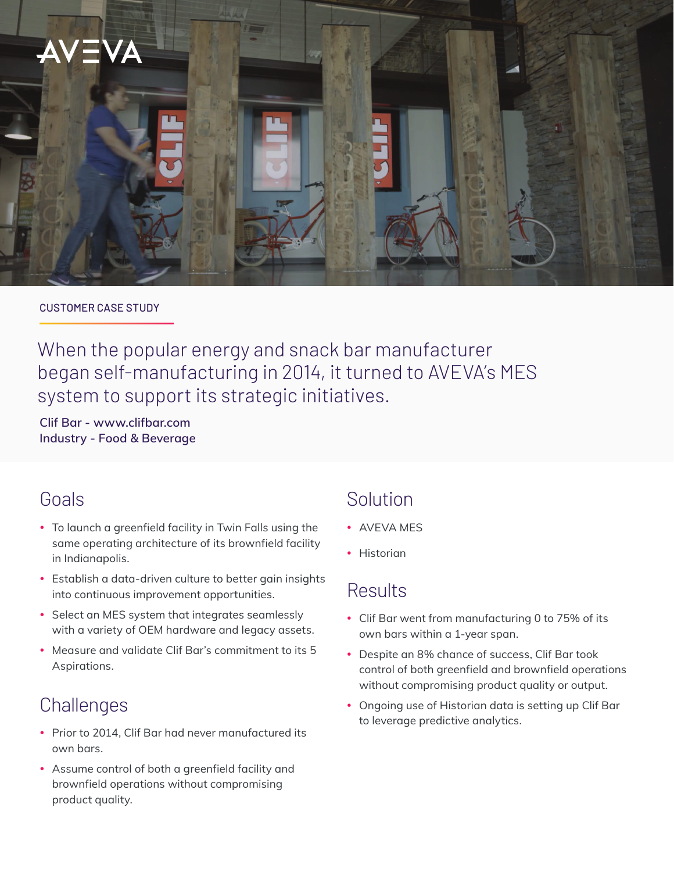

#### CUSTOMER CASE STUDY

When the popular energy and snack bar manufacturer began self-manufacturing in 2014, it turned to AVEVA's MES system to support its strategic initiatives.

**Clif Bar - [www.clifbar.com](https://www.clifbar.com/) Industry - Food & Beverage**

## Goals

- To launch a greenfield facility in Twin Falls using the same operating architecture of its brownfield facility in Indianapolis.
- Establish a data-driven culture to better gain insights into continuous improvement opportunities.
- Select an MES system that integrates seamlessly with a variety of OEM hardware and legacy assets.
- Measure and validate Clif Bar's commitment to its 5 Aspirations.

# **Challenges**

- Prior to 2014, Clif Bar had never manufactured its own bars.
- Assume control of both a greenfield facility and brownfield operations without compromising product quality.

# Solution

- AVFVA MFS
- Historian

## **Results**

- Clif Bar went from manufacturing 0 to 75% of its own bars within a 1-year span.
- Despite an 8% chance of success, Clif Bar took control of both greenfield and brownfield operations without compromising product quality or output.
- Ongoing use of Historian data is setting up Clif Bar to leverage predictive analytics.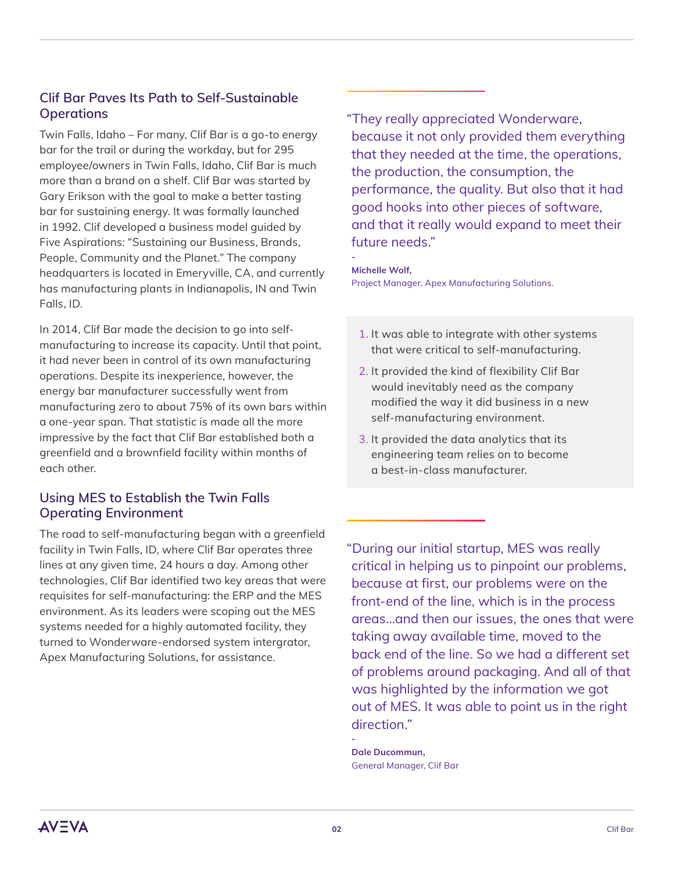### **Clif Bar Paves Its Path to Self-Sustainable Operations**

Twin Falls, Idaho – For many, Clif Bar is a go-to energy bar for the trail or during the workday, but for 295 employee/owners in Twin Falls, Idaho, Clif Bar is much more than a brand on a shelf. Clif Bar was started by Gary Erikson with the goal to make a better tasting bar for sustaining energy. It was formally launched in 1992. Clif developed a business model guided by Five Aspirations: "Sustaining our Business, Brands, People, Community and the Planet." The company headquarters is located in Emeryville, CA, and currently has manufacturing plants in Indianapolis, IN and Twin Falls, ID.

In 2014, Clif Bar made the decision to go into selfmanufacturing to increase its capacity. Until that point, it had never been in control of its own manufacturing operations. Despite its inexperience, however, the energy bar manufacturer successfully went from manufacturing zero to about 75% of its own bars within a one-year span. That statistic is made all the more impressive by the fact that Clif Bar established both a greenfield and a brownfield facility within months of each other.

### **Using MES to Establish the Twin Falls Operating Environment**

The road to self-manufacturing began with a greenfield facility in Twin Falls, ID, where Clif Bar operates three lines at any given time, 24 hours a day. Among other technologies, Clif Bar identified two key areas that were requisites for self-manufacturing: the ERP and the MES environment. As its leaders were scoping out the MES systems needed for a highly automated facility, they turned to Wonderware-endorsed system intergrator, Apex Manufacturing Solutions, for assistance.

"They really appreciated Wonderware, because it not only provided them everything that they needed at the time, the operations, the production, the consumption, the performance, the quality. But also that it had good hooks into other pieces of software, and that it really would expand to meet their future needs."

**Michelle Wolf,** 

**-**

Project Manager, Apex Manufacturing Solutions.

- 1. It was able to integrate with other systems that were critical to self-manufacturing.
- 2. It provided the kind of flexibility Clif Bar would inevitably need as the company modified the way it did business in a new self-manufacturing environment.
- 3. It provided the data analytics that its engineering team relies on to become a best-in-class manufacturer.

"During our initial startup, MES was really critical in helping us to pinpoint our problems, because at first, our problems were on the front-end of the line, which is in the process areas…and then our issues, the ones that were taking away available time, moved to the back end of the line. So we had a different set of problems around packaging. And all of that was highlighted by the information we got out of MES. It was able to point us in the right direction."

**Dale Ducommun,**  General Manager, Clif Bar

**-**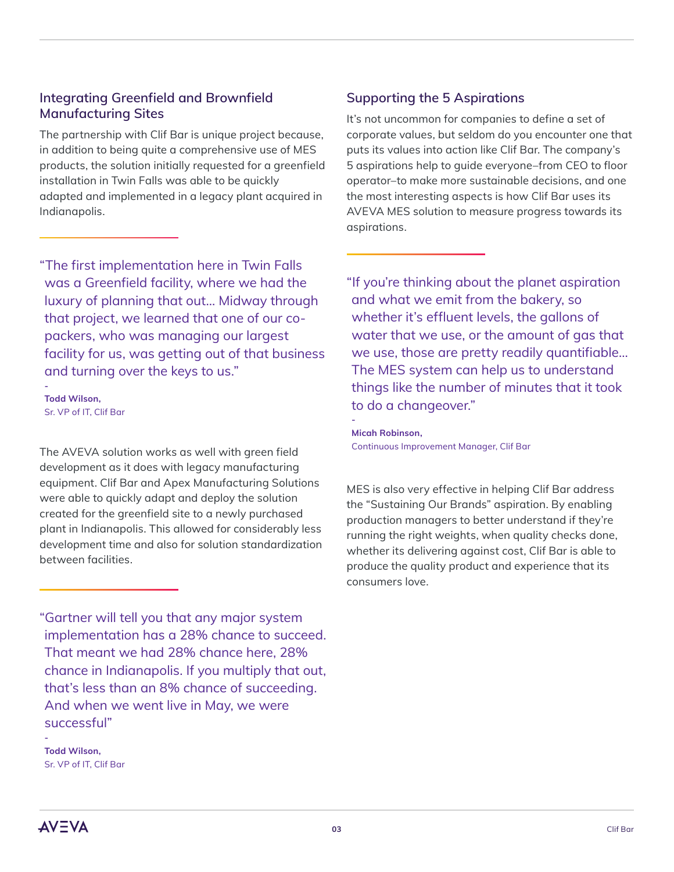#### **Integrating Greenfield and Brownfield Manufacturing Sites**

The partnership with Clif Bar is unique project because, in addition to being quite a comprehensive use of MES products, the solution initially requested for a greenfield installation in Twin Falls was able to be quickly adapted and implemented in a legacy plant acquired in Indianapolis.

"The first implementation here in Twin Falls was a Greenfield facility, where we had the luxury of planning that out… Midway through that project, we learned that one of our copackers, who was managing our largest facility for us, was getting out of that business and turning over the keys to us."

**Todd Wilson,**  Sr. VP of IT, Clif Bar

**-**

The AVEVA solution works as well with green field development as it does with legacy manufacturing equipment. Clif Bar and Apex Manufacturing Solutions were able to quickly adapt and deploy the solution created for the greenfield site to a newly purchased plant in Indianapolis. This allowed for considerably less development time and also for solution standardization between facilities.

"Gartner will tell you that any major system implementation has a 28% chance to succeed. That meant we had 28% chance here, 28% chance in Indianapolis. If you multiply that out, that's less than an 8% chance of succeeding. And when we went live in May, we were successful"

**Todd Wilson,**  Sr. VP of IT, Clif Bar

#### **Supporting the 5 Aspirations**

It's not uncommon for companies to define a set of corporate values, but seldom do you encounter one that puts its values into action like Clif Bar. The company's 5 aspirations help to guide everyone–from CEO to floor operator–to make more sustainable decisions, and one the most interesting aspects is how Clif Bar uses its AVEVA MES solution to measure progress towards its aspirations.

"If you're thinking about the planet aspiration and what we emit from the bakery, so whether it's effluent levels, the gallons of water that we use, or the amount of gas that we use, those are pretty readily quantifiable… The MES system can help us to understand things like the number of minutes that it took to do a changeover."

**Micah Robinson,** Continuous Improvement Manager, Clif Bar

**-**

MES is also very effective in helping Clif Bar address the "Sustaining Our Brands" aspiration. By enabling production managers to better understand if they're running the right weights, when quality checks done, whether its delivering against cost, Clif Bar is able to produce the quality product and experience that its consumers love.

**AV=VA** 

**-**